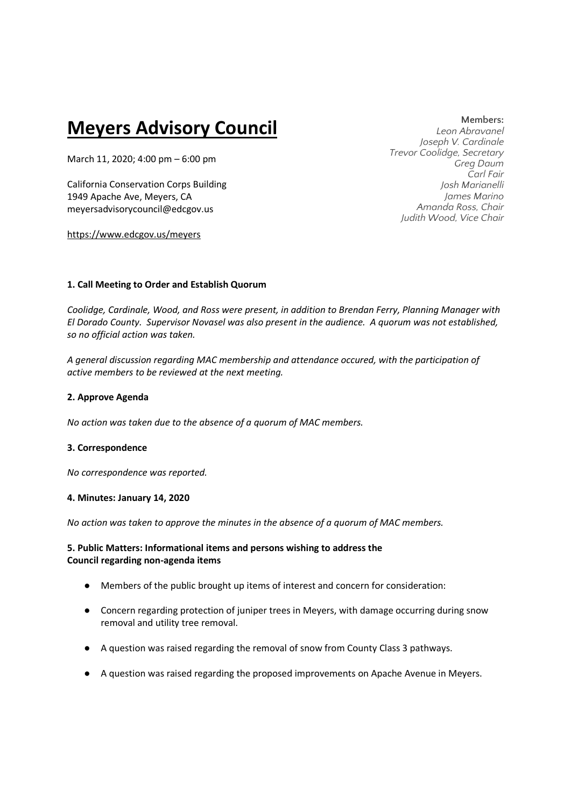# **Meyers Advisory Council**

March 11, 2020; 4:00 pm – 6:00 pm

California Conservation Corps Building 1949 Apache Ave, Meyers, CA meyersadvisorycouncil@edcgov.us

https://www.edcgov.us/meyers

## **Members:**

*Leon Abravanel Joseph V. Cardinale Trevor Coolidge, Secretary Greg Daum Carl Fair Josh Marianelli James Marino Amanda Ross, Chair Judith Wood, Vice Chair* 

## **1. Call Meeting to Order and Establish Quorum**

*Coolidge, Cardinale, Wood, and Ross were present, in addition to Brendan Ferry, Planning Manager with El Dorado County. Supervisor Novasel was also present in the audience. A quorum was not established, so no official action was taken.* 

*A general discussion regarding MAC membership and attendance occured, with the participation of active members to be reviewed at the next meeting.* 

## **2. Approve Agenda**

*No action was taken due to the absence of a quorum of MAC members.* 

## **3. Correspondence**

*No correspondence was reported.*

## **4. Minutes: January 14, 2020**

*No action was taken to approve the minutes in the absence of a quorum of MAC members.*

## **5. Public Matters: Informational items and persons wishing to address the Council regarding non-agenda items**

- Members of the public brought up items of interest and concern for consideration:
- Concern regarding protection of juniper trees in Meyers, with damage occurring during snow removal and utility tree removal.
- A question was raised regarding the removal of snow from County Class 3 pathways.
- A question was raised regarding the proposed improvements on Apache Avenue in Meyers.